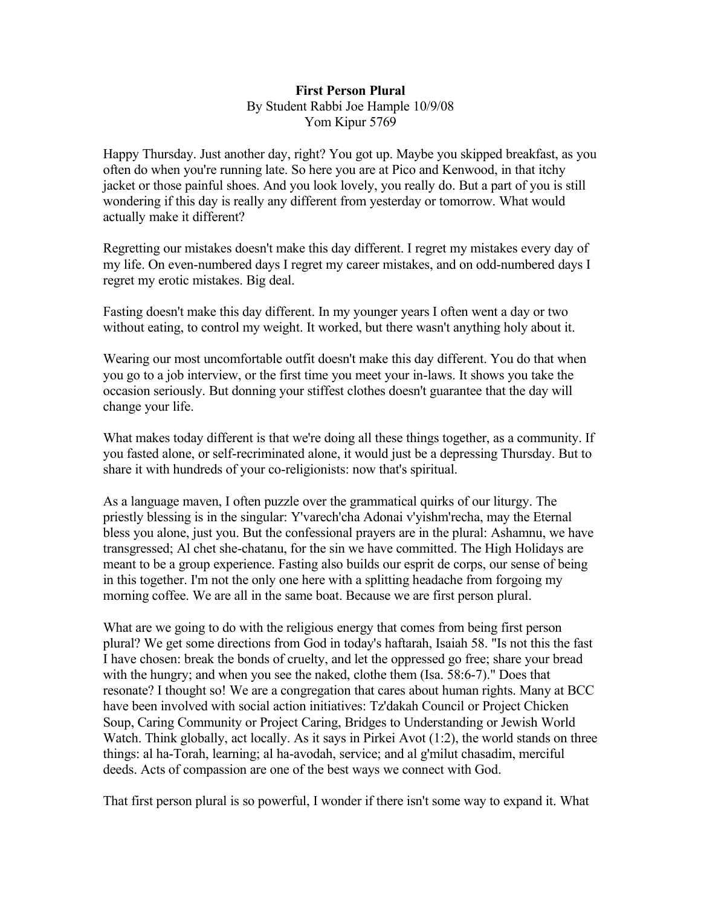## **First Person Plural** By Student Rabbi Joe Hample 10/9/08 Yom Kipur 5769

Happy Thursday. Just another day, right? You got up. Maybe you skipped breakfast, as you often do when you're running late. So here you are at Pico and Kenwood, in that itchy jacket or those painful shoes. And you look lovely, you really do. But a part of you is still wondering if this day is really any different from yesterday or tomorrow. What would actually make it different?

Regretting our mistakes doesn't make this day different. I regret my mistakes every day of my life. On even-numbered days I regret my career mistakes, and on odd-numbered days I regret my erotic mistakes. Big deal.

Fasting doesn't make this day different. In my younger years I often went a day or two without eating, to control my weight. It worked, but there wasn't anything holy about it.

Wearing our most uncomfortable outfit doesn't make this day different. You do that when you go to a job interview, or the first time you meet your in-laws. It shows you take the occasion seriously. But donning your stiffest clothes doesn't guarantee that the day will change your life.

What makes today different is that we're doing all these things together, as a community. If you fasted alone, or self-recriminated alone, it would just be a depressing Thursday. But to share it with hundreds of your co-religionists: now that's spiritual.

As a language maven, I often puzzle over the grammatical quirks of our liturgy. The priestly blessing is in the singular: Y'varech'cha Adonai v'yishm'recha, may the Eternal bless you alone, just you. But the confessional prayers are in the plural: Ashamnu, we have transgressed; Al chet she-chatanu, for the sin we have committed. The High Holidays are meant to be a group experience. Fasting also builds our esprit de corps, our sense of being in this together. I'm not the only one here with a splitting headache from forgoing my morning coffee. We are all in the same boat. Because we are first person plural.

What are we going to do with the religious energy that comes from being first person plural? We get some directions from God in today's haftarah, Isaiah 58. "Is not this the fast I have chosen: break the bonds of cruelty, and let the oppressed go free; share your bread with the hungry; and when you see the naked, clothe them (Isa. 58:6-7)." Does that resonate? I thought so! We are a congregation that cares about human rights. Many at BCC have been involved with social action initiatives: Tz'dakah Council or Project Chicken Soup, Caring Community or Project Caring, Bridges to Understanding or Jewish World Watch. Think globally, act locally. As it says in Pirkei Avot (1:2), the world stands on three things: al ha-Torah, learning; al ha-avodah, service; and al g'milut chasadim, merciful deeds. Acts of compassion are one of the best ways we connect with God.

That first person plural is so powerful, I wonder if there isn't some way to expand it. What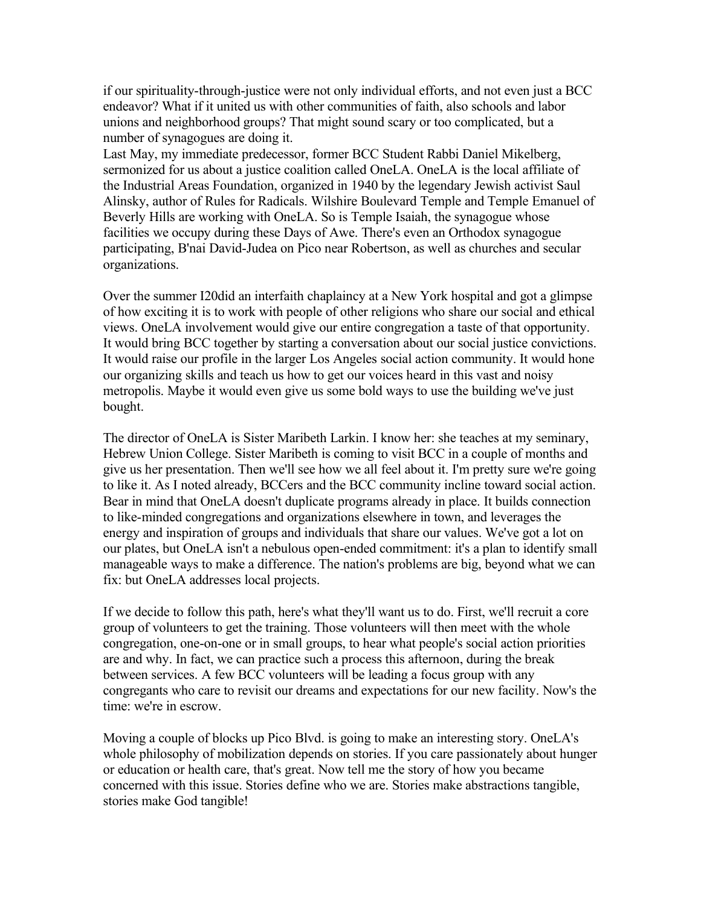if our spirituality-through-justice were not only individual efforts, and not even just a BCC endeavor? What if it united us with other communities of faith, also schools and labor unions and neighborhood groups? That might sound scary or too complicated, but a number of synagogues are doing it.

Last May, my immediate predecessor, former BCC Student Rabbi Daniel Mikelberg, sermonized for us about a justice coalition called OneLA. OneLA is the local affiliate of the Industrial Areas Foundation, organized in 1940 by the legendary Jewish activist Saul Alinsky, author of Rules for Radicals. Wilshire Boulevard Temple and Temple Emanuel of Beverly Hills are working with OneLA. So is Temple Isaiah, the synagogue whose facilities we occupy during these Days of Awe. There's even an Orthodox synagogue participating, B'nai David-Judea on Pico near Robertson, as well as churches and secular organizations.

Over the summer I20did an interfaith chaplaincy at a New York hospital and got a glimpse of how exciting it is to work with people of other religions who share our social and ethical views. OneLA involvement would give our entire congregation a taste of that opportunity. It would bring BCC together by starting a conversation about our social justice convictions. It would raise our profile in the larger Los Angeles social action community. It would hone our organizing skills and teach us how to get our voices heard in this vast and noisy metropolis. Maybe it would even give us some bold ways to use the building we've just bought.

The director of OneLA is Sister Maribeth Larkin. I know her: she teaches at my seminary, Hebrew Union College. Sister Maribeth is coming to visit BCC in a couple of months and give us her presentation. Then we'll see how we all feel about it. I'm pretty sure we're going to like it. As I noted already, BCCers and the BCC community incline toward social action. Bear in mind that OneLA doesn't duplicate programs already in place. It builds connection to like-minded congregations and organizations elsewhere in town, and leverages the energy and inspiration of groups and individuals that share our values. We've got a lot on our plates, but OneLA isn't a nebulous open-ended commitment: it's a plan to identify small manageable ways to make a difference. The nation's problems are big, beyond what we can fix: but OneLA addresses local projects.

If we decide to follow this path, here's what they'll want us to do. First, we'll recruit a core group of volunteers to get the training. Those volunteers will then meet with the whole congregation, one-on-one or in small groups, to hear what people's social action priorities are and why. In fact, we can practice such a process this afternoon, during the break between services. A few BCC volunteers will be leading a focus group with any congregants who care to revisit our dreams and expectations for our new facility. Now's the time: we're in escrow.

Moving a couple of blocks up Pico Blvd. is going to make an interesting story. OneLA's whole philosophy of mobilization depends on stories. If you care passionately about hunger or education or health care, that's great. Now tell me the story of how you became concerned with this issue. Stories define who we are. Stories make abstractions tangible, stories make God tangible!